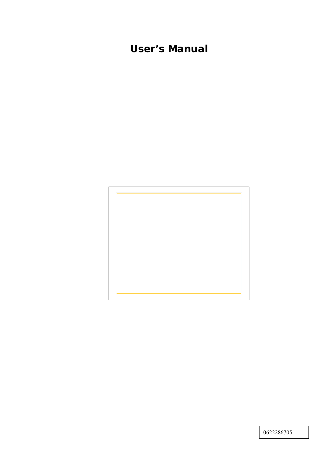# **User's Manual**



0622286705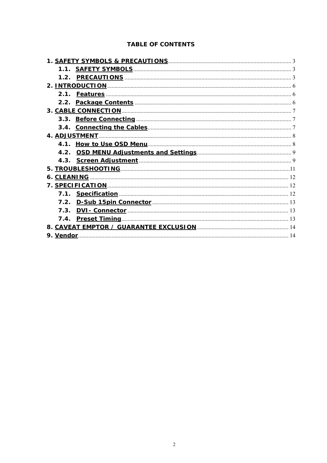#### **TABLE OF CONTENTS**

| <b>4. ADJUSTMENT.</b> |  |
|-----------------------|--|
|                       |  |
|                       |  |
|                       |  |
|                       |  |
|                       |  |
|                       |  |
|                       |  |
|                       |  |
|                       |  |
|                       |  |
|                       |  |
| 9. Vendor.            |  |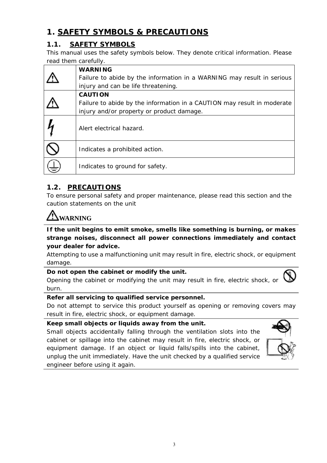## **1. SAFETY SYMBOLS & PRECAUTIONS**

## **1.1. SAFETY SYMBOLS**

This manual uses the safety symbols below. They denote critical information. Please read them carefully.

| <b>WARNING</b>                                                          |
|-------------------------------------------------------------------------|
| Failure to abide by the information in a WARNING may result in serious  |
| injury and can be life threatening.                                     |
| <b>CAUTION</b>                                                          |
| Failure to abide by the information in a CAUTION may result in moderate |
| injury and/or property or product damage.                               |
| Alert electrical hazard.                                                |
| Indicates a prohibited action.                                          |
| Indicates to ground for safety.                                         |

### **1.2. PRECAUTIONS**

To ensure personal safety and proper maintenance, please read this section and the caution statements on the unit

# **WARNING**

**If the unit begins to emit smoke, smells like something is burning, or makes strange noises, disconnect all power connections immediately and contact your dealer for advice.** 

Attempting to use a malfunctioning unit may result in fire, electric shock, or equipment damage.

#### **Do not open the cabinet or modify the unit.**

Opening the cabinet or modifying the unit may result in fire, electric shock, or burn.

#### **Refer all servicing to qualified service personnel.**

Do not attempt to service this product yourself as opening or removing covers may result in fire, electric shock, or equipment damage.

**Keep small objects or liquids away from the unit.** 

Small objects accidentally falling through the ventilation slots into the cabinet or spillage into the cabinet may result in fire, electric shock, or equipment damage. If an object or liquid falls/spills into the cabinet, unplug the unit immediately. Have the unit checked by a qualified service engineer before using it again.

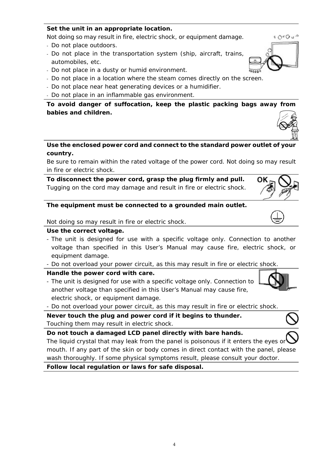## **Set the unit in an appropriate location.**

Not doing so may result in fire, electric shock, or equipment damage.

- Do not place outdoors.
- Do not place in the transportation system (ship, aircraft, trains, automobiles, etc.
- Do not place in a dusty or humid environment.
- Do not place in a location where the steam comes directly on the screen.
- Do not place near heat generating devices or a humidifier.
- Do not place in an inflammable gas environment.

**To avoid danger of suffocation, keep the plastic packing bags away from babies and children.** 

**Use the enclosed power cord and connect to the standard power outlet of your country.** 

Be sure to remain within the rated voltage of the power cord. Not doing so may result in fire or electric shock.

**To disconnect the power cord, grasp the plug firmly and pull.**  Tugging on the cord may damage and result in fire or electric shock.

### **The equipment must be connected to a grounded main outlet.**

Not doing so may result in fire or electric shock.

### **Use the correct voltage.**

- The unit is designed for use with a specific voltage only. Connection to another voltage than specified in this User's Manual may cause fire, electric shock, or equipment damage.

- Do not overload your power circuit, as this may result in fire or electric shock.

### **Handle the power cord with care.**

- The unit is designed for use with a specific voltage only. Connection to another voltage than specified in this User's Manual may cause fire, electric shock, or equipment damage.
- Do not overload your power circuit, as this may result in fire or electric shock.

**Never touch the plug and power cord if it begins to thunder.** Touching them may result in electric shock.

**Do not touch a damaged LCD panel directly with bare hands.** 

The liquid crystal that may leak from the panel is poisonous if it enters the eyes or mouth. If any part of the skin or body comes in direct contact with the panel, please wash thoroughly. If some physical symptoms result, please consult your doctor.

**Follow local regulation or laws for safe disposal.** 













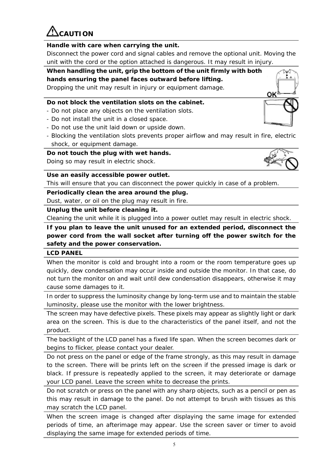**CAUTION** 

## **Handle with care when carrying the unit.**

Disconnect the power cord and signal cables and remove the optional unit. Moving the unit with the cord or the option attached is dangerous. It may result in injury.

## **When handling the unit, grip the bottom of the unit firmly with both hands ensuring the panel faces outward before lifting.**

Dropping the unit may result in injury or equipment damage.

## **Do not block the ventilation slots on the cabinet.**

- Do not place any objects on the ventilation slots.
- Do not install the unit in a closed space.
- Do not use the unit laid down or upside down.
- Blocking the ventilation slots prevents proper airflow and may result in fire, electric shock, or equipment damage.

## **Do not touch the plug with wet hands.**

Doing so may result in electric shock.

**Use an easily accessible power outlet.** 

This will ensure that you can disconnect the power quickly in case of a problem.

## **Periodically clean the area around the plug.**

Dust, water, or oil on the plug may result in fire.

5

### **Unplug the unit before cleaning it.**

Cleaning the unit while it is plugged into a power outlet may result in electric shock.

**If you plan to leave the unit unused for an extended period, disconnect the power cord from the wall socket after turning off the power switch for the safety and the power conservation.** 

#### **LCD PANEL**

When the monitor is cold and brought into a room or the room temperature goes up quickly, dew condensation may occur inside and outside the monitor. In that case, do not turn the monitor on and wait until dew condensation disappears, otherwise it may cause some damages to it.

In order to suppress the luminosity change by long-term use and to maintain the stable luminosity, please use the monitor with the lower brightness.

The screen may have defective pixels. These pixels may appear as slightly light or dark area on the screen. This is due to the characteristics of the panel itself, and not the product.

The backlight of the LCD panel has a fixed life span. When the screen becomes dark or begins to flicker, please contact your dealer.

Do not press on the panel or edge of the frame strongly, as this may result in damage to the screen. There will be prints left on the screen if the pressed image is dark or black. If pressure is repeatedly applied to the screen, it may deteriorate or damage your LCD panel. Leave the screen white to decrease the prints.

Do not scratch or press on the panel with any sharp objects, such as a pencil or pen as this may result in damage to the panel. Do not attempt to brush with tissues as this may scratch the LCD panel.

When the screen image is changed after displaying the same image for extended periods of time, an afterimage may appear. Use the screen saver or timer to avoid displaying the same image for extended periods of time.



⊠ b.

OK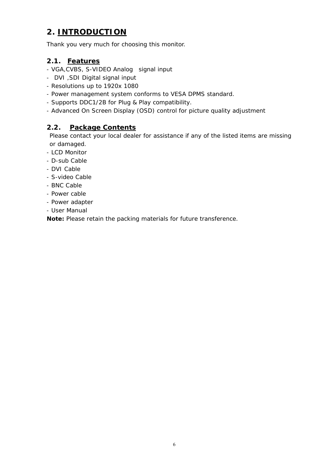## **2. INTRODUCTION**

Thank you very much for choosing this monitor.

### **2.1. Features**

- VGA,CVBS, S-VIDEO Analog signal input
- DVI ,SDI Digital signal input
- Resolutions up to 1920x 1080
- Power management system conforms to VESA DPMS standard.
- Supports DDC1/2B for Plug & Play compatibility.
- Advanced On Screen Display (OSD) control for picture quality adjustment

### **2.2. Package Contents**

Please contact your local dealer for assistance if any of the listed items are missing or damaged.

- LCD Monitor
- D-sub Cable
- DVI Cable
- S-video Cable
- BNC Cable
- Power cable
- Power adapter
- User Manual

**Note:** Please retain the packing materials for future transference.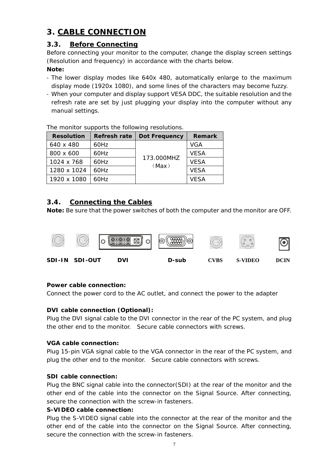## **3. CABLE CONNECTION**

#### **3.3. Before Connecting**

Before connecting your monitor to the computer, change the display screen settings (Resolution and frequency) in accordance with the charts below.

#### **Note:**

- The lower display modes like 640x 480, automatically enlarge to the maximum display mode (1920x 1080), and some lines of the characters may become fuzzy.
- When your computer and display support VESA DDC, the suitable resolution and the refresh rate are set by just plugging your display into the computer without any manual settings.

| THE THURING SUPPOLIS LIKE TURNING TESURING IS. |                     |                      |               |  |  |  |  |  |  |
|------------------------------------------------|---------------------|----------------------|---------------|--|--|--|--|--|--|
| <b>Resolution</b>                              | <b>Refresh rate</b> | <b>Dot Frequency</b> | <b>Remark</b> |  |  |  |  |  |  |
| 640 x 480                                      | 60Hz                |                      | VGA           |  |  |  |  |  |  |
| 800 x 600                                      | 60Hz                |                      | <b>VESA</b>   |  |  |  |  |  |  |
| 1024 x 768                                     | 60Hz                | 173.000MHZ           | <b>VESA</b>   |  |  |  |  |  |  |
| 1280 x 1024                                    | 60Hz                | (Max)                | <b>VESA</b>   |  |  |  |  |  |  |
| 1920 x 1080                                    | 60Hz                |                      | <b>VESA</b>   |  |  |  |  |  |  |

The monitor supports the following resolutions.

#### **3.4. Connecting the Cables**

**Note:** Be sure that the power switches of both the computer and the monitor are OFF.



#### **Power cable connection:**

Connect the power cord to the AC outlet, and connect the power to the adapter

#### **DVI cable connection (Optional):**

Plug the DVI signal cable to the DVI connector in the rear of the PC system, and plug the other end to the monitor. Secure cable connectors with screws.

#### **VGA cable connection:**

Plug 15-pin VGA signal cable to the VGA connector in the rear of the PC system, and plug the other end to the monitor. Secure cable connectors with screws.

#### **SDI cable connection:**

Plug the BNC signal cable into the connector(SDI) at the rear of the monitor and the other end of the cable into the connector on the Signal Source. After connecting, secure the connection with the screw-in fasteners.

#### **S-VIDEO cable connection:**

Plug the S-VIDEO signal cable into the connector at the rear of the monitor and the other end of the cable into the connector on the Signal Source. After connecting, secure the connection with the screw-in fasteners.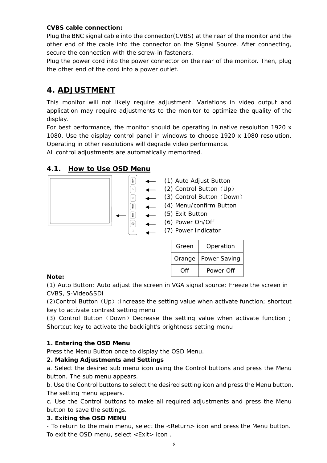#### **CVBS cable connection:**

Plug the BNC signal cable into the connector(CVBS) at the rear of the monitor and the other end of the cable into the connector on the Signal Source. After connecting, secure the connection with the screw-in fasteners.

Plug the power cord into the power connector on the rear of the monitor. Then, plug the other end of the cord into a power outlet.

## **4. ADJUSTMENT**

This monitor will not likely require adjustment. Variations in video output and application may require adjustments to the monitor to optimize the quality of the display.

For best performance, the monitor should be operating in native resolution 1920 x 1080. Use the display control panel in windows to choose 1920 x 1080 resolution. Operating in other resolutions will degrade video performance.

All control adjustments are automatically memorized.

### **4.1. How to Use OSD Menu**



| Green  | Operation    |
|--------|--------------|
| Orange | Power Saving |
| ∩ff    | Power Off    |

#### **Note:**

(1) Auto Button: Auto adjust the screen in VGA signal source; Freeze the screen in CVBS, S-Video&SDI

(2)Control Button(Up):Increase the setting value when activate function; shortcut key to activate contrast setting menu

(3) Control Button (Down) Decrease the setting value when activate function ; Shortcut key to activate the backlight's brightness setting menu

#### **1. Entering the OSD Menu**

Press the Menu Button once to display the OSD Menu.

#### **2. Making Adjustments and Settings**

a. Select the desired sub menu icon using the Control buttons and press the Menu button. The sub menu appears.

b. Use the Control buttons to select the desired setting icon and press the Menu button. The setting menu appears.

c. Use the Control buttons to make all required adjustments and press the Menu button to save the settings.

#### **3. Exiting the OSD MENU**

- To return to the main menu, select the <Return> icon and press the Menu button. To exit the OSD menu, select <Exit> icon .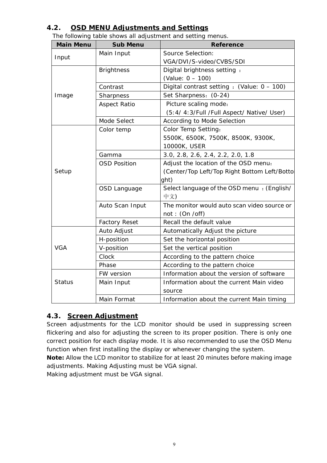## **4.2. OSD MENU Adjustments and Settings**

| The following table shows all adjustment and setting menus. |  |  |  |
|-------------------------------------------------------------|--|--|--|
|                                                             |  |  |  |
|                                                             |  |  |  |

| <b>Main Menu</b> | <b>Sub Menu</b>      | <b>Reference</b>                             |  |  |  |  |
|------------------|----------------------|----------------------------------------------|--|--|--|--|
| Input            | Main Input           | Source Selection:                            |  |  |  |  |
|                  |                      | VGA/DVI/S-video/CVBS/SDI                     |  |  |  |  |
|                  | <b>Brightness</b>    | Digital brightness setting:                  |  |  |  |  |
|                  |                      | (Value: 0 - 100)                             |  |  |  |  |
|                  | Contrast             | Digital contrast setting : (Value: 0 - 100)  |  |  |  |  |
| Image            | Sharpness            | Set Sharpness: (0-24)                        |  |  |  |  |
|                  | <b>Aspect Ratio</b>  | Picture scaling mode:                        |  |  |  |  |
|                  |                      | (5:4/ 4:3/Full /Full Aspect/ Native/ User)   |  |  |  |  |
|                  | Mode Select          | According to Mode Selection                  |  |  |  |  |
|                  | Color temp           | Color Temp Setting:                          |  |  |  |  |
|                  |                      | 5500K, 6500K, 7500K, 8500K, 9300K,           |  |  |  |  |
|                  |                      | 10000K, USER                                 |  |  |  |  |
|                  | Gamma                | 3.0, 2.8, 2.6, 2.4, 2.2, 2.0, 1.8            |  |  |  |  |
|                  | <b>OSD Position</b>  | Adjust the location of the OSD menu:         |  |  |  |  |
| Setup            |                      | (Center/Top Left/Top Right Bottom Left/Botto |  |  |  |  |
|                  |                      | ght)                                         |  |  |  |  |
|                  | OSD Language         | Select language of the OSD menu : (English/  |  |  |  |  |
|                  |                      | 中文)                                          |  |  |  |  |
|                  | Auto Scan Input      | The monitor would auto scan video source or  |  |  |  |  |
|                  |                      | not: (On / off)                              |  |  |  |  |
|                  | <b>Factory Reset</b> | Recall the default value                     |  |  |  |  |
|                  | Auto Adjust          | Automatically Adjust the picture             |  |  |  |  |
|                  | H-position           | Set the horizontal position                  |  |  |  |  |
| <b>VGA</b>       | V-position           | Set the vertical position                    |  |  |  |  |
|                  | Clock                | According to the pattern choice              |  |  |  |  |
|                  | Phase                | According to the pattern choice              |  |  |  |  |
|                  | FW version           | Information about the version of software    |  |  |  |  |
| <b>Status</b>    | Main Input           | Information about the current Main video     |  |  |  |  |
|                  |                      | source                                       |  |  |  |  |
|                  | Main Format          | Information about the current Main timing    |  |  |  |  |

### **4.3. Screen Adjustment**

Screen adjustments for the LCD monitor should be used in suppressing screen flickering and also for adjusting the screen to its proper position. There is only one correct position for each display mode. It is also recommended to use the OSD Menu function when first installing the display or whenever changing the system.

**Note:** Allow the LCD monitor to stabilize for at least 20 minutes before making image adjustments. Making Adjusting must be VGA signal.

Making adjustment must be VGA signal.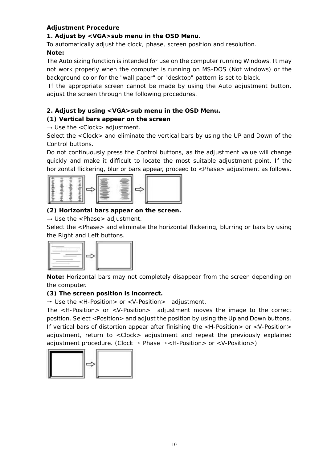#### **Adjustment Procedure**

#### **1. Adjust by <VGA>sub menu in the OSD Menu.**

To automatically adjust the clock, phase, screen position and resolution.

### **Note:**

The Auto sizing function is intended for use on the computer running Windows. It may not work properly when the computer is running on MS-DOS (Not windows) or the background color for the "wall paper" or "desktop" pattern is set to black.

 If the appropriate screen cannot be made by using the Auto adjustment button, adjust the screen through the following procedures.

#### **2. Adjust by using <VGA>sub menu in the OSD Menu.**

### **(1) Vertical bars appear on the screen**

 $\rightarrow$  Use the <Clock> adjustment.

Select the <Clock> and eliminate the vertical bars by using the UP and Down of the Control buttons.

Do not continuously press the Control buttons, as the adjustment value will change quickly and make it difficult to locate the most suitable adjustment point. If the horizontal flickering, blur or bars appear, proceed to <Phase> adjustment as follows.



#### **(2) Horizontal bars appear on the screen.**

 $\rightarrow$  Use the <Phase> adjustment.

Select the <Phase> and eliminate the horizontal flickering, blurring or bars by using the Right and Left buttons.



**Note:** Horizontal bars may not completely disappear from the screen depending on the computer.

#### **(3) The screen position is incorrect.**

 $\rightarrow$  Use the  $\lt$ H-Position > or  $\lt$ V-Position > adjustment.

The <H-Position> or <V-Position> adjustment moves the image to the correct position. Select <Position> and adjust the position by using the Up and Down buttons. If vertical bars of distortion appear after finishing the <H-Position> or <V-Position> adjustment, return to <Clock> adjustment and repeat the previously explained adjustment procedure. (Clock  $\rightarrow$  Phase  $\rightarrow$  <H-Position> or <V-Position>)

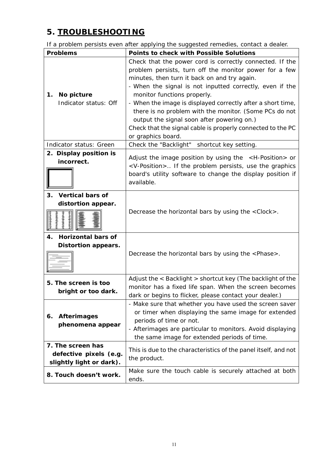## **5. TROUBLESHOOTING**

If a problem persists even after applying the suggested remedies, contact a dealer.

| <b>Problems</b>                                                         | <b>Points to check with Possible Solutions</b>                                                                                                                                                                                                                                                                                                                                                                                                                                                                            |
|-------------------------------------------------------------------------|---------------------------------------------------------------------------------------------------------------------------------------------------------------------------------------------------------------------------------------------------------------------------------------------------------------------------------------------------------------------------------------------------------------------------------------------------------------------------------------------------------------------------|
| No picture<br>1.<br>Indicator status: Off                               | Check that the power cord is correctly connected. If the<br>problem persists, turn off the monitor power for a few<br>minutes, then turn it back on and try again.<br>- When the signal is not inputted correctly, even if the<br>monitor functions properly.<br>- When the image is displayed correctly after a short time,<br>there is no problem with the monitor. (Some PCs do not<br>output the signal soon after powering on.)<br>Check that the signal cable is properly connected to the PC<br>or graphics board. |
| Indicator status: Green                                                 | Check the "Backlight"<br>shortcut key setting.                                                                                                                                                                                                                                                                                                                                                                                                                                                                            |
| 2. Display position is<br>incorrect.                                    | Adjust the image position by using the $\leq$ H-Position $>$ or<br><v-position> If the problem persists, use the graphics<br/>board's utility software to change the display position if<br/>available.</v-position>                                                                                                                                                                                                                                                                                                      |
| <b>Vertical bars of</b><br>3.<br>distortion appear.                     | Decrease the horizontal bars by using the <clock>.</clock>                                                                                                                                                                                                                                                                                                                                                                                                                                                                |
| <b>Horizontal bars of</b><br>4.<br><b>Distortion appears.</b>           | Decrease the horizontal bars by using the <phase>.</phase>                                                                                                                                                                                                                                                                                                                                                                                                                                                                |
| 5. The screen is too<br>bright or too dark.                             | Adjust the $\epsilon$ Backlight $>$ shortcut key (The backlight of the<br>monitor has a fixed life span. When the screen becomes<br>dark or begins to flicker, please contact your dealer.)                                                                                                                                                                                                                                                                                                                               |
| <b>Afterimages</b><br>6.<br>phenomena appear                            | - Make sure that whether you have used the screen saver<br>or timer when displaying the same image for extended<br>periods of time or not.<br>- Afterimages are particular to monitors. Avoid displaying<br>the same image for extended periods of time.                                                                                                                                                                                                                                                                  |
| 7. The screen has<br>defective pixels (e.g.<br>slightly light or dark). | This is due to the characteristics of the panel itself, and not<br>the product.                                                                                                                                                                                                                                                                                                                                                                                                                                           |
| 8. Touch doesn't work.                                                  | Make sure the touch cable is securely attached at both<br>ends.                                                                                                                                                                                                                                                                                                                                                                                                                                                           |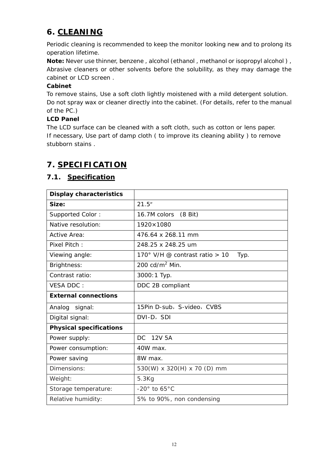## **6. CLEANING**

Periodic cleaning is recommended to keep the monitor looking new and to prolong its operation lifetime.

**Note:** Never use thinner, benzene, alcohol (ethanol, methanol or isopropyl alcohol), Abrasive cleaners or other solvents before the solubility, as they may damage the cabinet or LCD screen .

#### **Cabinet**

To remove stains, Use a soft cloth lightly moistened with a mild detergent solution. Do not spray wax or cleaner directly into the cabinet. (For details, refer to the manual of the PC.)

#### **LCD Panel**

The LCD surface can be cleaned with a soft cloth, such as cotton or lens paper. If necessary, Use part of damp cloth ( to improve its cleaning ability ) to remove stubborn stains .

## **7. SPECIFICATION**

#### **7.1. Specification**

| <b>Display characteristics</b> |                                          |
|--------------------------------|------------------------------------------|
| Size:                          | 21.5"                                    |
| Supported Color:               | 16.7M colors (8 Bit)                     |
| Native resolution:             | 1920×1080                                |
| Active Area:                   | 476.64 x 268.11 mm                       |
| Pixel Pitch:                   | 248.25 x 248.25 um                       |
| Viewing angle:                 | 170° V/H @ contrast ratio $> 10$<br>Typ. |
| <b>Brightness:</b>             | 200 $cd/m2$ Min.                         |
| Contrast ratio:                | 3000:1 Typ.                              |
| <b>VESA DDC:</b>               | DDC 2B compliant                         |
| <b>External connections</b>    |                                          |
| Analog signal:                 | 15Pin D-sub, S-video, CVBS               |
| Digital signal:                | DVI-D, SDI                               |
| <b>Physical specifications</b> |                                          |
| Power supply:                  | DC.<br>12V 5A                            |
| Power consumption:             | 40W max.                                 |
| Power saving                   | 8W max.                                  |
| Dimensions:                    | 530(W) x 320(H) x 70 (D) mm              |
| Weight:                        | 5.3Kg                                    |
| Storage temperature:           | $-20^\circ$ to 65 $^\circ$ C             |
| Relative humidity:             | 5% to 90%, non condensing                |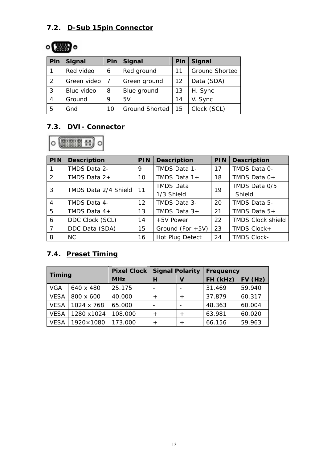## **7.2. D-Sub 15pin Connector**

# $\circ$

| Pin | <b>Signal</b> | Pin | <b>Signal</b>  | Pin               | <b>Signal</b>         |
|-----|---------------|-----|----------------|-------------------|-----------------------|
| 1   | Red video     | 6   | Red ground     | 11                | <b>Ground Shorted</b> |
| 2   | Green video   |     | Green ground   | $12 \overline{ }$ | Data (SDA)            |
| 3   | Blue video    | 8   | Blue ground    | 13                | H. Sync               |
| 4   | Ground        | 9   | 5V             | 14                | V. Sync               |
| 5   | Gnd           | 10  | Ground Shorted | 15                | Clock (SCL)           |

## **7.3. DVI- Connector**



| PIN            | <b>Description</b>   | PIN               | <b>Description</b>  | <b>PIN</b> | <b>Description</b>       |
|----------------|----------------------|-------------------|---------------------|------------|--------------------------|
|                | TMDS Data 2-         | 9                 | TMDS Data 1-        | 17         | TMDS Data 0-             |
| 2              | TMDS Data $2+$       | 10                | TMDS Data $1+$      | 18         | TMDS Data 0+             |
| 3              | TMDS Data 2/4 Shield |                   | <b>TMDS Data</b>    | 19         | TMDS Data 0/5            |
|                |                      | 11                | 1/3 Shield          |            | Shield                   |
| $\overline{4}$ | TMDS Data 4-         | $12 \overline{ }$ | TMDS Data 3-        | 20         | TMDS Data 5-             |
| 5              | TMDS Data $4+$       | 13                | TMDS Data $3+$      | 21         | TMDS Data 5+             |
| 6              | DDC Clock (SCL)      | 14                | +5V Power           | 22         | <b>TMDS Clock shield</b> |
| $\overline{7}$ | DDC Data (SDA)       | 15                | Ground (For $+5V$ ) | 23         | TMDS Clock+              |
| 8              | NC.                  | 16                | Hot Plug Detect     | 24         | <b>TMDS Clock-</b>       |

## **7.4. Preset Timing**

| <b>Timing</b> |            | <b>Pixel Clock  </b> | <b>Signal Polarity</b> |                | Frequency |        |
|---------------|------------|----------------------|------------------------|----------------|-----------|--------|
|               |            | <b>MHz</b>           | н                      | V              | FH (kHz)  | FV(Hz) |
| <b>VGA</b>    | 640 x 480  | 25.175               |                        |                | 31.469    | 59.940 |
| <b>VESA</b>   | 800 x 600  | 40.000               | $^{+}$                 | $^{+}$         | 37.879    | 60.317 |
| <b>VESA</b>   | 1024 x 768 | 65.000               |                        |                | 48.363    | 60.004 |
| <b>VESA</b>   | 1280 x1024 | 108.000              | $^{+}$                 | $+$            | 63.981    | 60.020 |
| <b>VESA</b>   | 1920×1080  | 173.000              | $^{+}$                 | $\overline{+}$ | 66.156    | 59.963 |